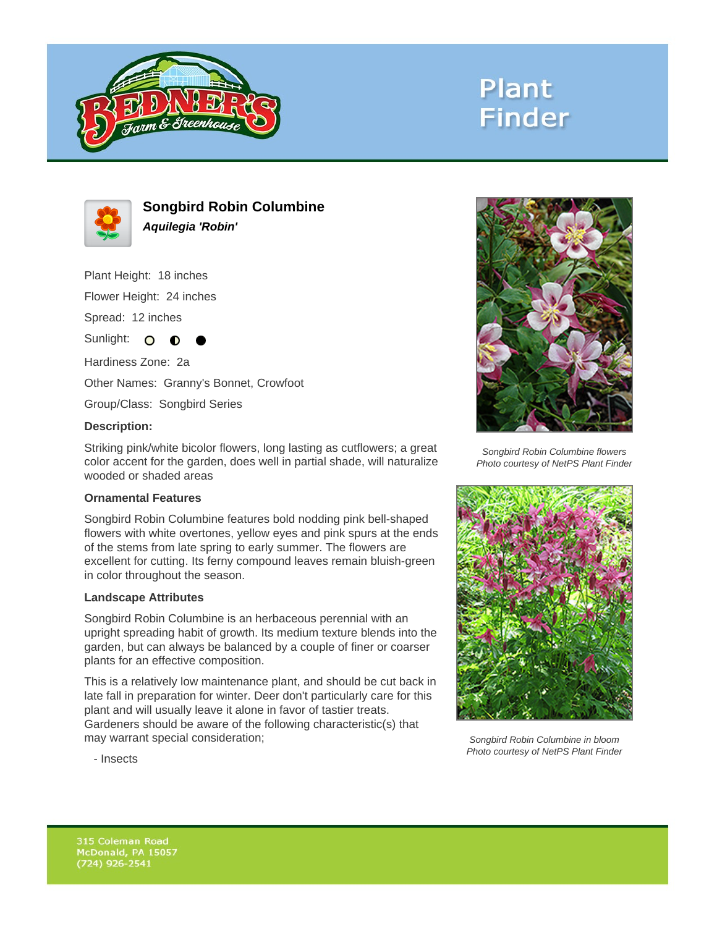

# **Plant Finder**



**Songbird Robin Columbine Aquilegia 'Robin'**

Plant Height: 18 inches

Flower Height: 24 inches

Spread: 12 inches

Sunlight: O **O** 

Hardiness Zone: 2a

Other Names: Granny's Bonnet, Crowfoot

Group/Class: Songbird Series

#### **Description:**

Striking pink/white bicolor flowers, long lasting as cutflowers; a great color accent for the garden, does well in partial shade, will naturalize wooded or shaded areas

## **Ornamental Features**

Songbird Robin Columbine features bold nodding pink bell-shaped flowers with white overtones, yellow eyes and pink spurs at the ends of the stems from late spring to early summer. The flowers are excellent for cutting. Its ferny compound leaves remain bluish-green in color throughout the season.

#### **Landscape Attributes**

Songbird Robin Columbine is an herbaceous perennial with an upright spreading habit of growth. Its medium texture blends into the garden, but can always be balanced by a couple of finer or coarser plants for an effective composition.

This is a relatively low maintenance plant, and should be cut back in late fall in preparation for winter. Deer don't particularly care for this plant and will usually leave it alone in favor of tastier treats. Gardeners should be aware of the following characteristic(s) that may warrant special consideration;



Songbird Robin Columbine flowers Photo courtesy of NetPS Plant Finder



Songbird Robin Columbine in bloom Photo courtesy of NetPS Plant Finder

- Insects